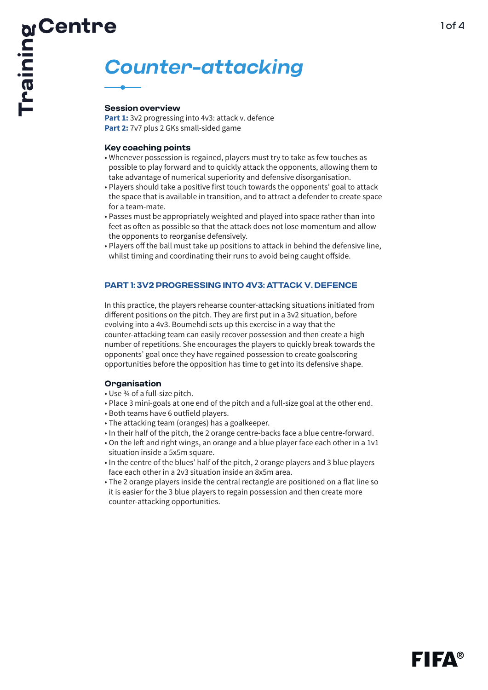# **Counter-attacking**

**Part 1:** 3v2 progressing into 4v3: attack v. defence

- **Key coaching points**  Whenever possession is regained, players must try to take as few touches as possible to play forward and to quickly attack the opponents, allowing them to take advantage of numerical superiority and defensive disorganisation.
- Players should take a positive first touch towards the opponents' goal to attack the space that is available in transition, and to attract a defender to create space for a team-mate.
- Passes must be appropriately weighted and played into space rather than into feet as often as possible so that the attack does not lose momentum and allow the opponents to reorganise defensively.
- Players off the ball must take up positions to attack in behind the defensive line, whilst timing and coordinating their runs to avoid being caught offside.

# **PART 1: 3V2 PROGRESSING INTO 4V3: ATTACK V. DEFENCE**

In this practice, the players rehearse counter-attacking situations initiated from different positions on the pitch. They are first put in a 3v2 situation, before evolving into a 4v3. Boumehdi sets up this exercise in a way that the counter-attacking team can easily recover possession and then create a high number of repetitions. She encourages the players to quickly break towards the opponents' goal once they have regained possession to create goalscoring opportunities before the opposition has time to get into its defensive shape.

- Use <sup>3</sup>/<sub>4</sub> of a full-size pitch.
- Place 3 mini-goals at one end of the pitch and a full-size goal at the other end.
- Both teams have 6 outfield players.
- The attacking team (oranges) has a goalkeeper.
- In their half of the pitch, the 2 orange centre-backs face a blue centre-forward.
- On the left and right wings, an orange and a blue player face each other in a 1v1 situation inside a 5x5m square.
- In the centre of the blues' half of the pitch, 2 orange players and 3 blue players face each other in a 2v3 situation inside an 8x5m area.
- The 2 orange players inside the central rectangle are positioned on a flat line so it is easier for the 3 blue players to regain possession and then create more counter-attacking opportunities.

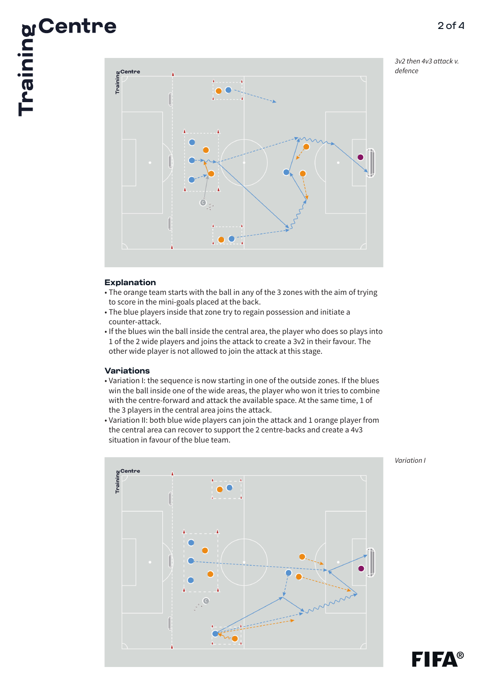3v2 then 4v3 attack v. defence



- The orange team starts with the ball in any of the 3 zones with the aim of trying to score in the mini-goals placed at the back.
- The blue players inside that zone try to regain possession and initiate a counter-attack.
- If the blues win the ball inside the central area, the player who does so plays into 1 of the 2 wide players and joins the attack to create a 3v2 in their favour. The other wide player is not allowed to join the attack at this stage.

# **Variations**

- Variation I: the sequence is now starting in one of the outside zones. If the blues win the ball inside one of the wide areas, the player who won it tries to combine with the centre-forward and attack the available space. At the same time, 1 of the 3 players in the central area joins the attack.
- Variation II: both blue wide players can join the attack and 1 orange player from the central area can recover to support the 2 centre-backs and create a 4v3 situation in favour of the blue team.



Variation I

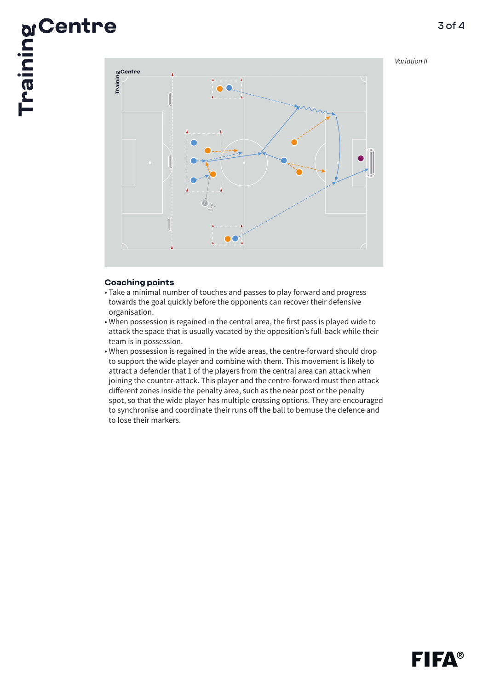# Variation II

3 of 4



- Take a minimal number of touches and passes to play forward and progress towards the goal quickly before the opponents can recover their defensive organisation.
- When possession is regained in the central area, the first pass is played wide to attack the space that is usually vacated by the opposition's full-back while their team is in possession.
- When possession is regained in the wide areas, the centre-forward should drop to support the wide player and combine with them. This movement is likely to attract a defender that 1 of the players from the central area can attack when joining the counter-attack. This player and the centre-forward must then attack different zones inside the penalty area, such as the near post or the penalty spot, so that the wide player has multiple crossing options. They are encouraged to synchronise and coordinate their runs off the ball to bemuse the defence and to lose their markers.